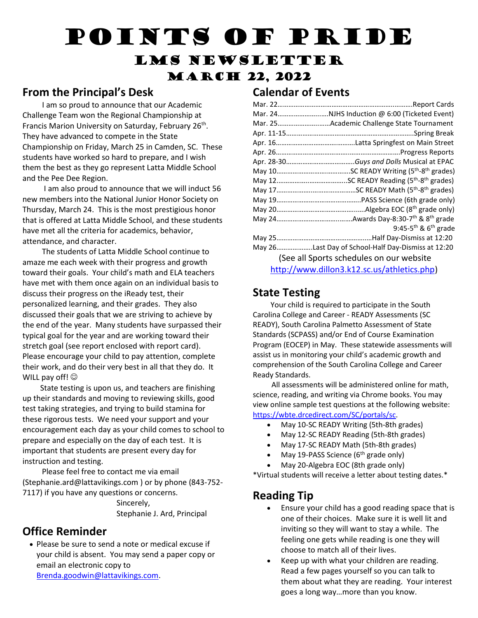# Points of Pride

## LMS Newsletter **MARCH 22, 2022**

### **From the Principal's Desk**

 I am so proud to announce that our Academic Challenge Team won the Regional Championship at Francis Marion University on Saturday, February 26<sup>th</sup>. They have advanced to compete in the State Championship on Friday, March 25 in Camden, SC. These students have worked so hard to prepare, and I wish them the best as they go represent Latta Middle School and the Pee Dee Region.

 I am also proud to announce that we will induct 56 new members into the National Junior Honor Society on Thursday, March 24. This is the most prestigious honor that is offered at Latta Middle School, and these students have met all the criteria for academics, behavior, attendance, and character.

 The students of Latta Middle School continue to amaze me each week with their progress and growth toward their goals. Your child's math and ELA teachers have met with them once again on an individual basis to discuss their progress on the iReady test, their personalized learning, and their grades. They also discussed their goals that we are striving to achieve by the end of the year. Many students have surpassed their typical goal for the year and are working toward their stretch goal (see report enclosed with report card). Please encourage your child to pay attention, complete their work, and do their very best in all that they do. It WILL pay off!  $\odot$ 

 State testing is upon us, and teachers are finishing up their standards and moving to reviewing skills, good test taking strategies, and trying to build stamina for these rigorous tests. We need your support and your encouragement each day as your child comes to school to prepare and especially on the day of each test. It is important that students are present every day for instruction and testing.

 Please feel free to contact me via email (Stephanie.ard@lattavikings.com ) or by phone (843-752- 7117) if you have any questions or concerns.

 Sincerely, Stephanie J. Ard, Principal

## **Office Reminder**

 Please be sure to send a note or medical excuse if your child is absent. You may send a paper copy or email an electronic copy to [Brenda.goodwin@lattavikings.com.](mailto:Brenda.goodwin@lattavikings.com)

#### **Calendar of Events**

|                                          | Mar. 24NJHS Induction @ 6:00 (Ticketed Event)      |
|------------------------------------------|----------------------------------------------------|
|                                          | Mar. 25Academic Challenge State Tournament         |
|                                          |                                                    |
|                                          |                                                    |
|                                          |                                                    |
|                                          |                                                    |
|                                          |                                                    |
|                                          |                                                    |
|                                          |                                                    |
|                                          |                                                    |
|                                          |                                                    |
|                                          |                                                    |
|                                          | 9:45-5 <sup>th</sup> & $6th$ grade                 |
|                                          |                                                    |
|                                          | May 26Last Day of School-Half Day-Dismiss at 12:20 |
| (See all Sports schedules on our website |                                                    |
|                                          | http://www.dillon3.k12.sc.us/athletics.php)        |

### **State Testing**

 Your child is required to participate in the South Carolina College and Career - READY Assessments (SC READY), South Carolina Palmetto Assessment of State Standards (SCPASS) and/or End of Course Examination Program (EOCEP) in May. These statewide assessments will assist us in monitoring your child's academic growth and comprehension of the South Carolina College and Career Ready Standards.

 All assessments will be administered online for math, science, reading, and writing via Chrome books. You may view online sample test questions at the following website: [https://wbte.drcedirect.com/SC/portals/sc.](https://wbte.drcedirect.com/SC/portals/sc)

- May 10-SC READY Writing (5th-8th grades)
- May 12-SC READY Reading (5th-8th grades)
- May 17-SC READY Math (5th-8th grades)
- May 19-PASS Science (6<sup>th</sup> grade only)
- May 20-Algebra EOC (8th grade only)

\*Virtual students will receive a letter about testing dates.\*

### **Reading Tip**

- Ensure your child has a good reading space that is one of their choices. Make sure it is well lit and inviting so they will want to stay a while. The feeling one gets while reading is one they will choose to match all of their lives.
- Keep up with what your children are reading. Read a few pages yourself so you can talk to them about what they are reading. Your interest goes a long way…more than you know.